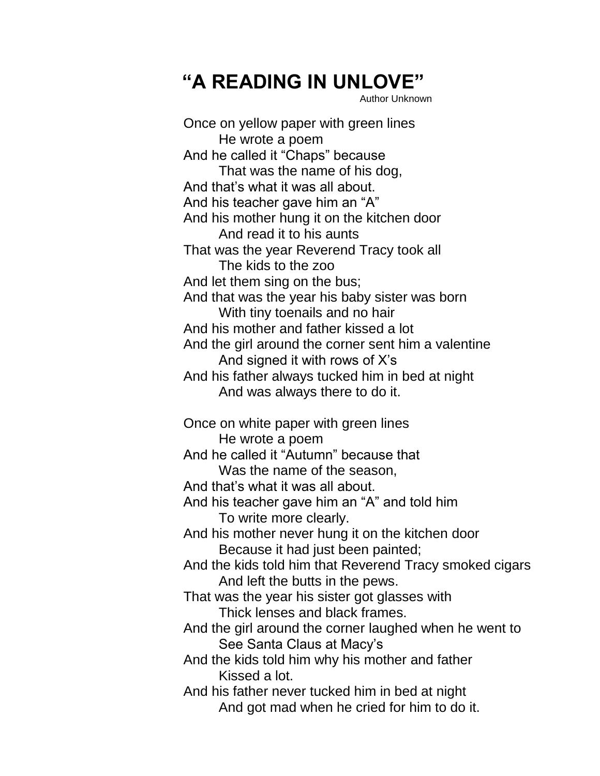## **"A READING IN UNLOVE"**

Author Unknown

Once on yellow paper with green lines He wrote a poem And he called it "Chaps" because That was the name of his dog, And that's what it was all about. And his teacher gave him an "A" And his mother hung it on the kitchen door And read it to his aunts That was the year Reverend Tracy took all The kids to the zoo And let them sing on the bus; And that was the year his baby sister was born With tiny toenails and no hair And his mother and father kissed a lot And the girl around the corner sent him a valentine And signed it with rows of X's And his father always tucked him in bed at night And was always there to do it. Once on white paper with green lines He wrote a poem And he called it "Autumn" because that Was the name of the season, And that's what it was all about. And his teacher gave him an "A" and told him To write more clearly. And his mother never hung it on the kitchen door Because it had just been painted; And the kids told him that Reverend Tracy smoked cigars And left the butts in the pews. That was the year his sister got glasses with Thick lenses and black frames. And the girl around the corner laughed when he went to See Santa Claus at Macy's And the kids told him why his mother and father Kissed a lot. And his father never tucked him in bed at night And got mad when he cried for him to do it.